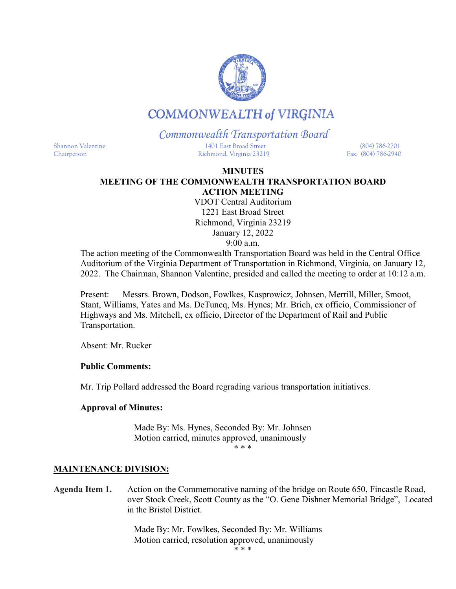

# **COMMONWEALTH of VIRGINIA**

# *Commonwealth Transportation Board*

Shannon Valentine 1401 East Broad Street (804) 786-2701 Chairperson Richmond, Virginia 23219 Fax: (804) 786-2940

### **MINUTES MEETING OF THE COMMONWEALTH TRANSPORTATION BOARD ACTION MEETING**

VDOT Central Auditorium 1221 East Broad Street Richmond, Virginia 23219 January 12, 2022 9:00 a.m.

The action meeting of the Commonwealth Transportation Board was held in the Central Office Auditorium of the Virginia Department of Transportation in Richmond, Virginia, on January 12, 2022. The Chairman, Shannon Valentine, presided and called the meeting to order at 10:12 a.m.

Present: Messrs. Brown, Dodson, Fowlkes, Kasprowicz, Johnsen, Merrill, Miller, Smoot, Stant, Williams, Yates and Ms. DeTuncq, Ms. Hynes; Mr. Brich, ex officio, Commissioner of Highways and Ms. Mitchell, ex officio, Director of the Department of Rail and Public Transportation.

Absent: Mr. Rucker

## **Public Comments:**

Mr. Trip Pollard addressed the Board regrading various transportation initiatives.

## **Approval of Minutes:**

Made By: Ms. Hynes, Seconded By: Mr. Johnsen Motion carried, minutes approved, unanimously \* \* \*

### **MAINTENANCE DIVISION:**

**Agenda Item 1.** Action on the Commemorative naming of the bridge on Route 650, Fincastle Road, over Stock Creek, Scott County as the "O. Gene Dishner Memorial Bridge", Located in the Bristol District.

> Made By: Mr. Fowlkes, Seconded By: Mr. Williams Motion carried, resolution approved, unanimously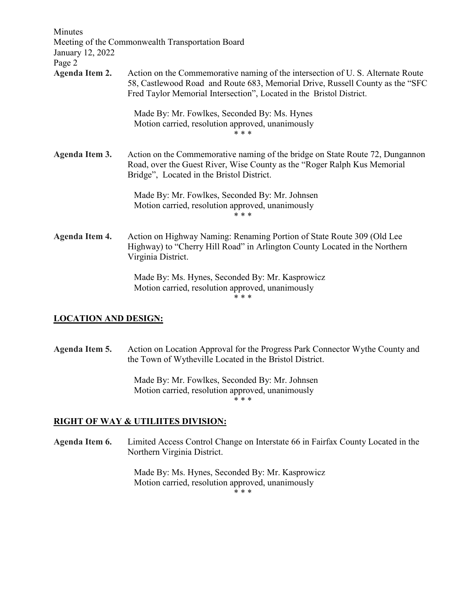| Minutes<br>January 12, 2022<br>Page 2 | Meeting of the Commonwealth Transportation Board                                                                                                                                                                                        |
|---------------------------------------|-----------------------------------------------------------------------------------------------------------------------------------------------------------------------------------------------------------------------------------------|
| <b>Agenda Item 2.</b>                 | Action on the Commemorative naming of the intersection of U.S. Alternate Route<br>58, Castlewood Road and Route 683, Memorial Drive, Russell County as the "SFC<br>Fred Taylor Memorial Intersection", Located in the Bristol District. |
|                                       | Made By: Mr. Fowlkes, Seconded By: Ms. Hynes<br>Motion carried, resolution approved, unanimously<br>* * *                                                                                                                               |
| Agenda Item 3.                        | Action on the Commemorative naming of the bridge on State Route 72, Dungannon<br>Road, over the Guest River, Wise County as the "Roger Ralph Kus Memorial<br>Bridge", Located in the Bristol District.                                  |
|                                       | Made By: Mr. Fowlkes, Seconded By: Mr. Johnsen<br>Motion carried, resolution approved, unanimously<br>* * *                                                                                                                             |
| <b>Agenda Item 4.</b>                 | Action on Highway Naming: Renaming Portion of State Route 309 (Old Lee<br>Highway) to "Cherry Hill Road" in Arlington County Located in the Northern<br>Virginia District.                                                              |
|                                       | Made By: Ms. Hynes, Seconded By: Mr. Kasprowicz<br>Motion carried, resolution approved, unanimously<br>* * *                                                                                                                            |

### **LOCATION AND DESIGN:**

**Agenda Item 5.** Action on Location Approval for the Progress Park Connector Wythe County and the Town of Wytheville Located in the Bristol District.

> Made By: Mr. Fowlkes, Seconded By: Mr. Johnsen Motion carried, resolution approved, unanimously \* \* \*

## **RIGHT OF WAY & UTILIITES DIVISION:**

**Agenda Item 6.** Limited Access Control Change on Interstate 66 in Fairfax County Located in the Northern Virginia District.

> Made By: Ms. Hynes, Seconded By: Mr. Kasprowicz Motion carried, resolution approved, unanimously

\* \* \*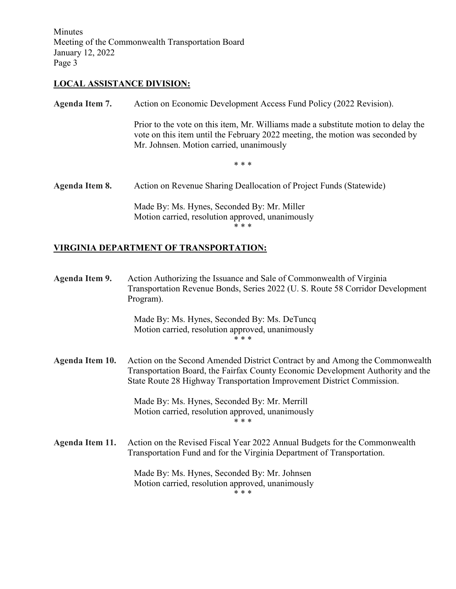Minutes Meeting of the Commonwealth Transportation Board January 12, 2022 Page 3

# **LOCAL ASSISTANCE DIVISION:**

| Agenda Item 7. | Action on Economic Development Access Fund Policy (2022 Revision).                                                                                                                                              |
|----------------|-----------------------------------------------------------------------------------------------------------------------------------------------------------------------------------------------------------------|
|                | Prior to the vote on this item, Mr. Williams made a substitute motion to delay the<br>vote on this item until the February 2022 meeting, the motion was seconded by<br>Mr. Johnsen. Motion carried, unanimously |
|                | * * *                                                                                                                                                                                                           |
| Agenda Item 8. | Action on Revenue Sharing Deallocation of Project Funds (Statewide)                                                                                                                                             |
|                | Made By: Ms. Hynes, Seconded By: Mr. Miller<br>Motion carried, resolution approved, unanimously<br>* * *                                                                                                        |

# **VIRGINIA DEPARTMENT OF TRANSPORTATION:**

| Agenda Item 9.  | Action Authorizing the Issuance and Sale of Commonwealth of Virginia<br>Transportation Revenue Bonds, Series 2022 (U. S. Route 58 Corridor Development<br>Program).                                                                       |
|-----------------|-------------------------------------------------------------------------------------------------------------------------------------------------------------------------------------------------------------------------------------------|
|                 | Made By: Ms. Hynes, Seconded By: Ms. DeTuncq<br>Motion carried, resolution approved, unanimously<br>* * *                                                                                                                                 |
| Agenda Item 10. | Action on the Second Amended District Contract by and Among the Commonwealth<br>Transportation Board, the Fairfax County Economic Development Authority and the<br>State Route 28 Highway Transportation Improvement District Commission. |
|                 | Made By: Ms. Hynes, Seconded By: Mr. Merrill<br>Motion carried, resolution approved, unanimously<br>* * *                                                                                                                                 |
| Agenda Item 11. | Action on the Revised Fiscal Year 2022 Annual Budgets for the Commonwealth<br>Transportation Fund and for the Virginia Department of Transportation.                                                                                      |
|                 | Made By: Ms. Hynes, Seconded By: Mr. Johnsen<br>Motion carried, resolution approved, unanimously<br>* * *                                                                                                                                 |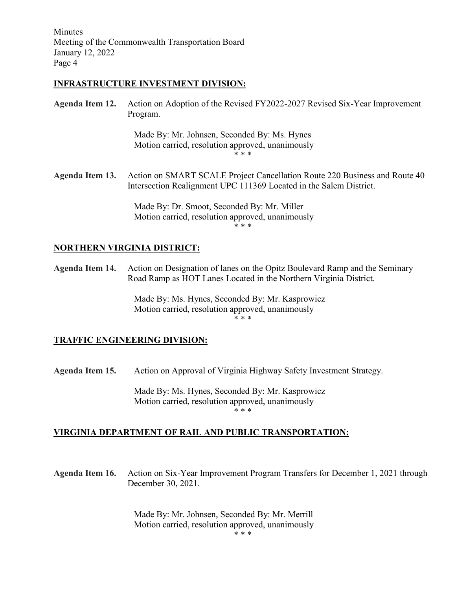Minutes Meeting of the Commonwealth Transportation Board January 12, 2022 Page 4

#### **INFRASTRUCTURE INVESTMENT DIVISION:**

**Agenda Item 12.** Action on Adoption of the Revised FY2022-2027 Revised Six-Year Improvement Program.

> Made By: Mr. Johnsen, Seconded By: Ms. Hynes Motion carried, resolution approved, unanimously \* \* \*

**Agenda Item 13.** Action on SMART SCALE Project Cancellation Route 220 Business and Route 40 Intersection Realignment UPC 111369 Located in the Salem District.

> Made By: Dr. Smoot, Seconded By: Mr. Miller Motion carried, resolution approved, unanimously \* \* \*

### **NORTHERN VIRGINIA DISTRICT:**

**Agenda Item 14.** Action on Designation of lanes on the Opitz Boulevard Ramp and the Seminary Road Ramp as HOT Lanes Located in the Northern Virginia District.

> Made By: Ms. Hynes, Seconded By: Mr. Kasprowicz Motion carried, resolution approved, unanimously \* \* \*

#### **TRAFFIC ENGINEERING DIVISION:**

**Agenda Item 15.** Action on Approval of Virginia Highway Safety Investment Strategy.

Made By: Ms. Hynes, Seconded By: Mr. Kasprowicz Motion carried, resolution approved, unanimously \* \* \*

### **VIRGINIA DEPARTMENT OF RAIL AND PUBLIC TRANSPORTATION:**

**Agenda Item 16.** Action on Six-Year Improvement Program Transfers for December 1, 2021 through December 30, 2021.

> Made By: Mr. Johnsen, Seconded By: Mr. Merrill Motion carried, resolution approved, unanimously \* \* \*